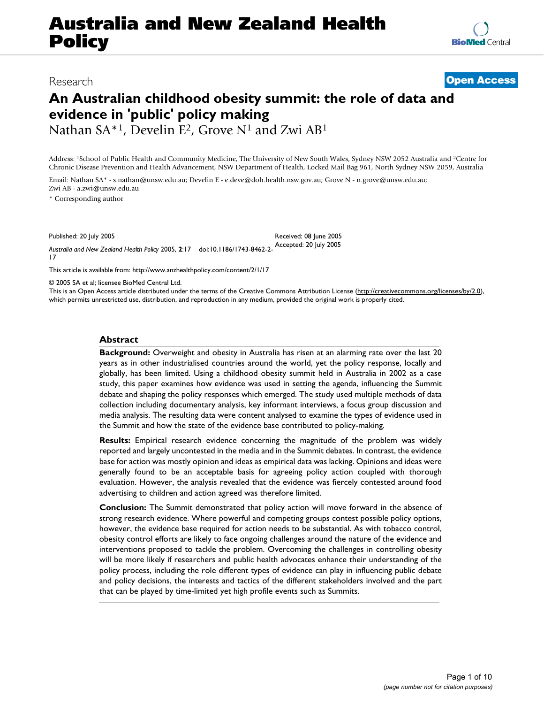# **Australia and New Zealand Health Policy**

### Research **[Open Access](http://www.biomedcentral.com/info/about/charter/)**

## **An Australian childhood obesity summit: the role of data and evidence in 'public' policy making** Nathan  $SA*1$ , Develin E<sup>2</sup>, Grove N<sup>1</sup> and Zwi  $AB<sup>1</sup>$

Address: 1School of Public Health and Community Medicine, The University of New South Wales, Sydney NSW 2052 Australia and 2Centre for Chronic Disease Prevention and Health Advancement, NSW Department of Health, Locked Mail Bag 961, North Sydney NSW 2059, Australia

Email: Nathan SA\* - s.nathan@unsw.edu.au; Develin E - e.deve@doh.health.nsw.gov.au; Grove N - n.grove@unsw.edu.au; Zwi AB - a.zwi@unsw.edu.au

\* Corresponding author

Published: 20 July 2005

*Australia and New Zealand Health Policy* 2005, **2**:17 doi:10.1186/1743-8462-2- Accepted: 20 July 2005 17 Received: 08 June 2005

[This article is available from: http://www.anzhealthpolicy.com/content/2/1/17](http://www.anzhealthpolicy.com/content/2/1/17)

© 2005 SA et al; licensee BioMed Central Ltd.

This is an Open Access article distributed under the terms of the Creative Commons Attribution License [\(http://creativecommons.org/licenses/by/2.0\)](http://creativecommons.org/licenses/by/2.0), which permits unrestricted use, distribution, and reproduction in any medium, provided the original work is properly cited.

#### **Abstract**

**Background:** Overweight and obesity in Australia has risen at an alarming rate over the last 20 years as in other industrialised countries around the world, yet the policy response, locally and globally, has been limited. Using a childhood obesity summit held in Australia in 2002 as a case study, this paper examines how evidence was used in setting the agenda, influencing the Summit debate and shaping the policy responses which emerged. The study used multiple methods of data collection including documentary analysis, key informant interviews, a focus group discussion and media analysis. The resulting data were content analysed to examine the types of evidence used in the Summit and how the state of the evidence base contributed to policy-making.

**Results:** Empirical research evidence concerning the magnitude of the problem was widely reported and largely uncontested in the media and in the Summit debates. In contrast, the evidence base for action was mostly opinion and ideas as empirical data was lacking. Opinions and ideas were generally found to be an acceptable basis for agreeing policy action coupled with thorough evaluation. However, the analysis revealed that the evidence was fiercely contested around food advertising to children and action agreed was therefore limited.

**Conclusion:** The Summit demonstrated that policy action will move forward in the absence of strong research evidence. Where powerful and competing groups contest possible policy options, however, the evidence base required for action needs to be substantial. As with tobacco control, obesity control efforts are likely to face ongoing challenges around the nature of the evidence and interventions proposed to tackle the problem. Overcoming the challenges in controlling obesity will be more likely if researchers and public health advocates enhance their understanding of the policy process, including the role different types of evidence can play in influencing public debate and policy decisions, the interests and tactics of the different stakeholders involved and the part that can be played by time-limited yet high profile events such as Summits.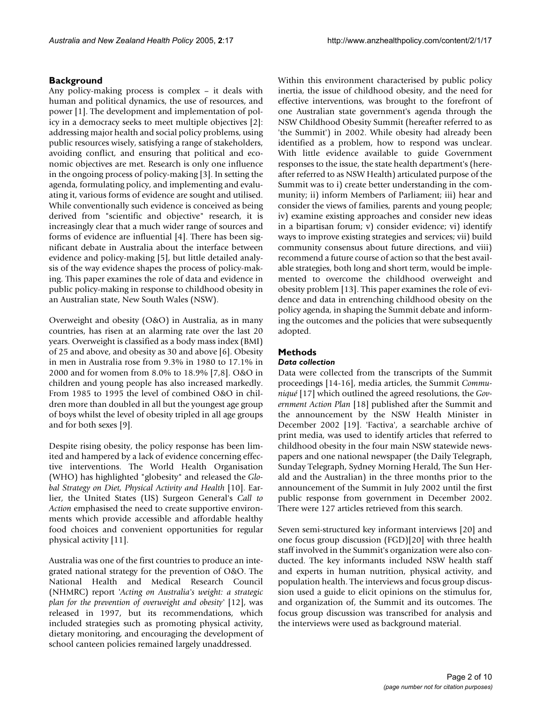### **Background**

Any policy-making process is complex – it deals with human and political dynamics, the use of resources, and power [1]. The development and implementation of policy in a democracy seeks to meet multiple objectives [2]: addressing major health and social policy problems, using public resources wisely, satisfying a range of stakeholders, avoiding conflict, and ensuring that political and economic objectives are met. Research is only one influence in the ongoing process of policy-making [3]. In setting the agenda, formulating policy, and implementing and evaluating it, various forms of evidence are sought and utilised. While conventionally such evidence is conceived as being derived from "scientific and objective" research, it is increasingly clear that a much wider range of sources and forms of evidence are influential [4]. There has been significant debate in Australia about the interface between evidence and policy-making [5], but little detailed analysis of the way evidence shapes the process of policy-making. This paper examines the role of data and evidence in public policy-making in response to childhood obesity in an Australian state, New South Wales (NSW).

Overweight and obesity (O&O) in Australia, as in many countries, has risen at an alarming rate over the last 20 years. Overweight is classified as a body mass index (BMI) of 25 and above, and obesity as 30 and above [6]. Obesity in men in Australia rose from 9.3% in 1980 to 17.1% in 2000 and for women from 8.0% to 18.9% [7,8]. O&O in children and young people has also increased markedly. From 1985 to 1995 the level of combined O&O in children more than doubled in all but the youngest age group of boys whilst the level of obesity tripled in all age groups and for both sexes [9].

Despite rising obesity, the policy response has been limited and hampered by a lack of evidence concerning effective interventions. The World Health Organisation (WHO) has highlighted "globesity" and released the *Global Strategy on Diet, Physical Activity and Health* [10]. Earlier, the United States (US) Surgeon General's *Call to Action* emphasised the need to create supportive environments which provide accessible and affordable healthy food choices and convenient opportunities for regular physical activity [11].

Australia was one of the first countries to produce an integrated national strategy for the prevention of O&O. The National Health and Medical Research Council (NHMRC) report *'Acting on Australia's weight: a strategic plan for the prevention of overweight and obesity'* [12], was released in 1997, but its recommendations, which included strategies such as promoting physical activity, dietary monitoring, and encouraging the development of school canteen policies remained largely unaddressed.

Within this environment characterised by public policy inertia, the issue of childhood obesity, and the need for effective interventions, was brought to the forefront of one Australian state government's agenda through the NSW Childhood Obesity Summit (hereafter referred to as 'the Summit') in 2002. While obesity had already been identified as a problem, how to respond was unclear. With little evidence available to guide Government responses to the issue, the state health department's (hereafter referred to as NSW Health) articulated purpose of the Summit was to i) create better understanding in the community; ii) inform Members of Parliament; iii) hear and consider the views of families, parents and young people; iv) examine existing approaches and consider new ideas in a bipartisan forum; v) consider evidence; vi) identify ways to improve existing strategies and services; vii) build community consensus about future directions, and viii) recommend a future course of action so that the best available strategies, both long and short term, would be implemented to overcome the childhood overweight and obesity problem [13]. This paper examines the role of evidence and data in entrenching childhood obesity on the policy agenda, in shaping the Summit debate and informing the outcomes and the policies that were subsequently adopted.

### **Methods**

#### *Data collection*

Data were collected from the transcripts of the Summit proceedings [14-16], media articles, the Summit *Communiqué* [17] which outlined the agreed resolutions, the *Government Action Plan* [18] published after the Summit and the announcement by the NSW Health Minister in December 2002 [19]. 'Factiva', a searchable archive of print media, was used to identify articles that referred to childhood obesity in the four main NSW statewide newspapers and one national newspaper (the Daily Telegraph, Sunday Telegraph, Sydney Morning Herald, The Sun Herald and the Australian) in the three months prior to the announcement of the Summit in July 2002 until the first public response from government in December 2002. There were 127 articles retrieved from this search.

Seven semi-structured key informant interviews [20] and one focus group discussion (FGD)[20] with three health staff involved in the Summit's organization were also conducted. The key informants included NSW health staff and experts in human nutrition, physical activity, and population health. The interviews and focus group discussion used a guide to elicit opinions on the stimulus for, and organization of, the Summit and its outcomes. The focus group discussion was transcribed for analysis and the interviews were used as background material.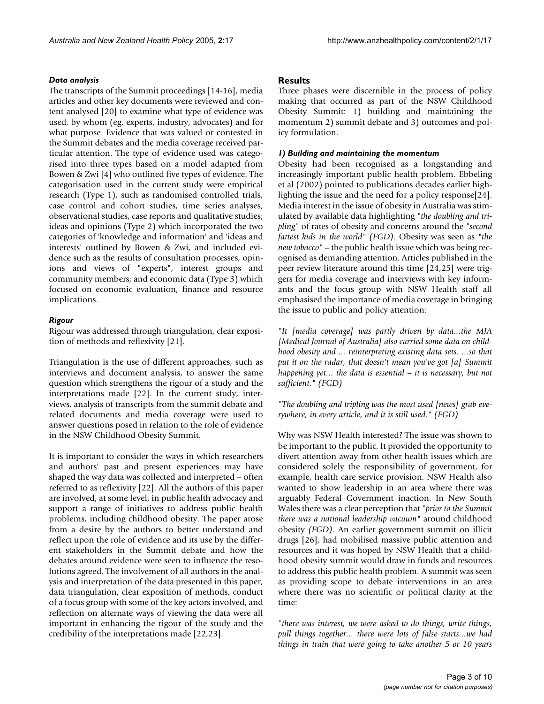#### *Data analysis*

The transcripts of the Summit proceedings [14-16], media articles and other key documents were reviewed and content analysed [20] to examine what type of evidence was used, by whom (eg. experts, industry, advocates) and for what purpose. Evidence that was valued or contested in the Summit debates and the media coverage received particular attention. The type of evidence used was categorised into three types based on a model adapted from Bowen & Zwi [4] who outlined five types of evidence. The categorisation used in the current study were empirical research (Type 1), such as randomised controlled trials, case control and cohort studies, time series analyses, observational studies, case reports and qualitative studies; ideas and opinions (Type 2) which incorporated the two categories of 'knowledge and information' and 'ideas and interests' outlined by Bowen & Zwi, and included evidence such as the results of consultation processes, opinions and views of "experts", interest groups and community members; and economic data (Type 3) which focused on economic evaluation, finance and resource implications.

#### *Rigour*

Rigour was addressed through triangulation, clear exposition of methods and reflexivity [21].

Triangulation is the use of different approaches, such as interviews and document analysis, to answer the same question which strengthens the rigour of a study and the interpretations made [22]. In the current study, interviews, analysis of transcripts from the summit debate and related documents and media coverage were used to answer questions posed in relation to the role of evidence in the NSW Childhood Obesity Summit.

It is important to consider the ways in which researchers and authors' past and present experiences may have shaped the way data was collected and interpreted – often referred to as reflexivity [22]. All the authors of this paper are involved, at some level, in public health advocacy and support a range of initiatives to address public health problems, including childhood obesity. The paper arose from a desire by the authors to better understand and reflect upon the role of evidence and its use by the different stakeholders in the Summit debate and how the debates around evidence were seen to influence the resolutions agreed. The involvement of all authors in the analysis and interpretation of the data presented in this paper, data triangulation, clear exposition of methods, conduct of a focus group with some of the key actors involved, and reflection on alternate ways of viewing the data were all important in enhancing the rigour of the study and the credibility of the interpretations made [22,23].

#### **Results**

Three phases were discernible in the process of policy making that occurred as part of the NSW Childhood Obesity Summit: 1) building and maintaining the momentum 2) summit debate and 3) outcomes and policy formulation.

#### *1) Building and maintaining the momentum*

Obesity had been recognised as a longstanding and increasingly important public health problem. Ebbeling et al (2002) pointed to publications decades earlier highlighting the issue and the need for a policy response[24]. Media interest in the issue of obesity in Australia was stimulated by available data highlighting *"the doubling and tripling"* of rates of obesity and concerns around the *"second fattest kids in the world" (FGD)*. Obesity was seen as *"the new tobacco"* – the public health issue which was being recognised as demanding attention. Articles published in the peer review literature around this time [24,25] were triggers for media coverage and interviews with key informants and the focus group with NSW Health staff all emphasised the importance of media coverage in bringing the issue to public and policy attention:

*"It [media coverage] was partly driven by data...the MJA [Medical Journal of Australia] also carried some data on childhood obesity and ... reinterpreting existing data sets. ...so that put it on the radar, that doesn't mean you've got [a] Summit happening yet... the data is essential – it is necessary, but not sufficient." (FGD)*

*"The doubling and tripling was the most used [news] grab everywhere, in every article, and it is still used." (FGD)*

Why was NSW Health interested? The issue was shown to be important to the public. It provided the opportunity to divert attention away from other health issues which are considered solely the responsibility of government, for example, health care service provision. NSW Health also wanted to show leadership in an area where there was arguably Federal Government inaction. In New South Wales there was a clear perception that *"prior to the Summit there was a national leadership vacuum"* around childhood obesity *(FGD)*. An earlier government summit on illicit drugs [26], had mobilised massive public attention and resources and it was hoped by NSW Health that a childhood obesity summit would draw in funds and resources to address this public health problem. A summit was seen as providing scope to debate interventions in an area where there was no scientific or political clarity at the time:

*"there was interest, we were asked to do things, write things, pull things together... there were lots of false starts...we had things in train that were going to take another 5 or 10 years*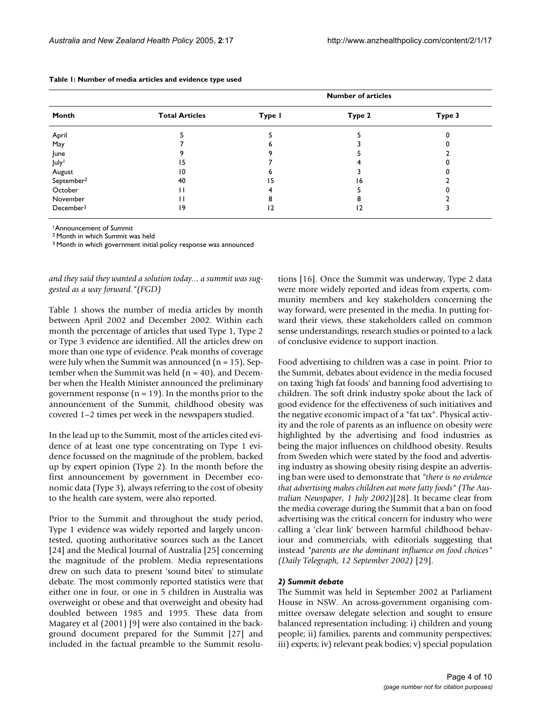|                        | <b>Total Articles</b> | <b>Number of articles</b> |        |        |  |
|------------------------|-----------------------|---------------------------|--------|--------|--|
| Month                  |                       | Type I                    | Type 2 | Type 3 |  |
| April                  |                       |                           |        |        |  |
| May                    |                       |                           |        |        |  |
| June                   |                       |                           |        |        |  |
| July <sup>1</sup>      | 15                    |                           |        |        |  |
| August                 | 10                    |                           |        |        |  |
| September <sup>2</sup> | 40                    | 15                        | 16     |        |  |
| October                | П                     |                           |        |        |  |
| November               | П                     |                           |        |        |  |
| December <sup>3</sup>  | 19                    | 12                        | 12     |        |  |

|  |  |  |  |  | Table 1: Number of media articles and evidence type used |  |
|--|--|--|--|--|----------------------------------------------------------|--|
|--|--|--|--|--|----------------------------------------------------------|--|

1Announcement of Summit

2 Month in which Summit was held

<sup>3</sup> Month in which government initial policy response was announced

*and they said they wanted a solution today... a summit was suggested as a way forward."(FGD)*

Table 1 shows the number of media articles by month between April 2002 and December 2002. Within each month the percentage of articles that used Type 1, Type 2 or Type 3 evidence are identified. All the articles drew on more than one type of evidence. Peak months of coverage were July when the Summit was announced  $(n = 15)$ , September when the Summit was held  $(n = 40)$ , and December when the Health Minister announced the preliminary government response  $(n = 19)$ . In the months prior to the announcement of the Summit, childhood obesity was covered 1–2 times per week in the newspapers studied.

In the lead up to the Summit, most of the articles cited evidence of at least one type concentrating on Type 1 evidence focussed on the magnitude of the problem, backed up by expert opinion (Type 2). In the month before the first announcement by government in December economic data (Type 3), always referring to the cost of obesity to the health care system, were also reported.

Prior to the Summit and throughout the study period, Type 1 evidence was widely reported and largely uncontested, quoting authoritative sources such as the Lancet [24] and the Medical Journal of Australia [25] concerning the magnitude of the problem. Media representations drew on such data to present 'sound bites' to stimulate debate. The most commonly reported statistics were that either one in four, or one in 5 children in Australia was overweight or obese and that overweight and obesity had doubled between 1985 and 1995. These data from Magarey et al (2001) [9] were also contained in the background document prepared for the Summit [27] and included in the factual preamble to the Summit resolutions [16]. Once the Summit was underway, Type 2 data were more widely reported and ideas from experts, community members and key stakeholders concerning the way forward, were presented in the media. In putting forward their views, these stakeholders called on common sense understandings, research studies or pointed to a lack of conclusive evidence to support inaction.

Food advertising to children was a case in point. Prior to the Summit, debates about evidence in the media focused on taxing 'high fat foods' and banning food advertising to children. The soft drink industry spoke about the lack of good evidence for the effectiveness of such initiatives and the negative economic impact of a "fat tax". Physical activity and the role of parents as an influence on obesity were highlighted by the advertising and food industries as being the major influences on childhood obesity. Results from Sweden which were stated by the food and advertising industry as showing obesity rising despite an advertising ban were used to demonstrate that *"there is no evidence that advertising makes children eat more fatty foods" (The Australian Newspaper, 1 July 2002*)[28]. It became clear from the media coverage during the Summit that a ban on food advertising was the critical concern for industry who were calling a 'clear link' between harmful childhood behaviour and commercials, with editorials suggesting that instead *"parents are the dominant influence on food choices" (Daily Telegraph, 12 September 2002)* [29].

#### *2) Summit debate*

The Summit was held in September 2002 at Parliament House in NSW. An across-government organising committee oversaw delegate selection and sought to ensure balanced representation including: i) children and young people; ii) families, parents and community perspectives; iii) experts; iv) relevant peak bodies; v) special population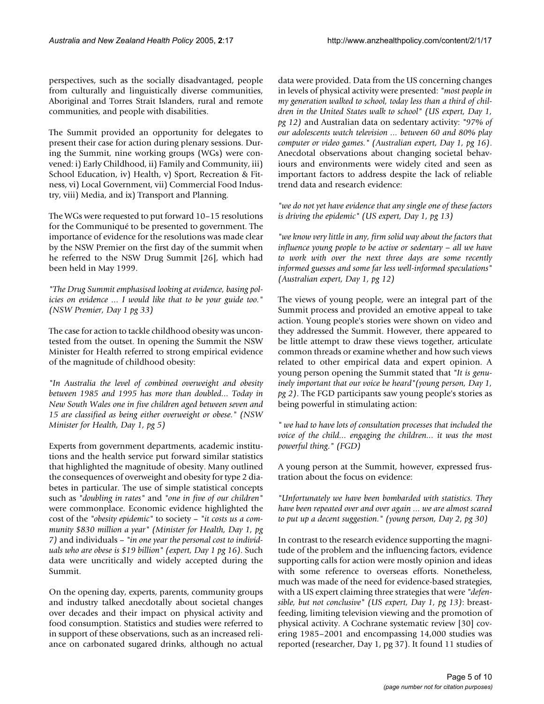perspectives, such as the socially disadvantaged, people from culturally and linguistically diverse communities, Aboriginal and Torres Strait Islanders, rural and remote communities, and people with disabilities.

The Summit provided an opportunity for delegates to present their case for action during plenary sessions. During the Summit, nine working groups (WGs) were convened: i) Early Childhood, ii) Family and Community, iii) School Education, iv) Health, v) Sport, Recreation & Fitness, vi) Local Government, vii) Commercial Food Industry, viii) Media, and ix) Transport and Planning.

The WGs were requested to put forward 10–15 resolutions for the Communiqué to be presented to government. The importance of evidence for the resolutions was made clear by the NSW Premier on the first day of the summit when he referred to the NSW Drug Summit [26], which had been held in May 1999.

*"The Drug Summit emphasised looking at evidence, basing policies on evidence ... I would like that to be your guide too." (NSW Premier, Day 1 pg 33)*

The case for action to tackle childhood obesity was uncontested from the outset. In opening the Summit the NSW Minister for Health referred to strong empirical evidence of the magnitude of childhood obesity:

*"In Australia the level of combined overweight and obesity between 1985 and 1995 has more than doubled... Today in New South Wales one in five children aged between seven and 15 are classified as being either overweight or obese." (NSW Minister for Health, Day 1, pg 5)*

Experts from government departments, academic institutions and the health service put forward similar statistics that highlighted the magnitude of obesity. Many outlined the consequences of overweight and obesity for type 2 diabetes in particular. The use of simple statistical concepts such as *"doubling in rates"* and *"one in five of our children"* were commonplace. Economic evidence highlighted the cost of the *"obesity epidemic"* to society – *"it costs us a community \$830 million a year" (Minister for Health, Day 1, pg 7)* and individuals – *"in one year the personal cost to individuals who are obese is \$19 billion" (expert, Day 1 pg 16)*. Such data were uncritically and widely accepted during the Summit.

On the opening day, experts, parents, community groups and industry talked anecdotally about societal changes over decades and their impact on physical activity and food consumption. Statistics and studies were referred to in support of these observations, such as an increased reliance on carbonated sugared drinks, although no actual

data were provided. Data from the US concerning changes in levels of physical activity were presented: *"most people in my generation walked to school, today less than a third of children in the United States walk to school" (US expert, Day 1, pg 12)* and Australian data on sedentary activity: *"97% of our adolescents watch television ... between 60 and 80% play computer or video games." (Australian expert, Day 1, pg 16)*. Anecdotal observations about changing societal behaviours and environments were widely cited and seen as important factors to address despite the lack of reliable trend data and research evidence:

*"we do not yet have evidence that any single one of these factors is driving the epidemic" (US expert, Day 1, pg 13)*

*"we know very little in any, firm solid way about the factors that influence young people to be active or sedentary – all we have to work with over the next three days are some recently informed guesses and some far less well-informed speculations" (Australian expert, Day 1, pg 12)*

The views of young people, were an integral part of the Summit process and provided an emotive appeal to take action. Young people's stories were shown on video and they addressed the Summit. However, there appeared to be little attempt to draw these views together, articulate common threads or examine whether and how such views related to other empirical data and expert opinion. A young person opening the Summit stated that *"It is genuinely important that our voice be heard"(young person, Day 1, pg 2)*. The FGD participants saw young people's stories as being powerful in stimulating action:

*" we had to have lots of consultation processes that included the voice of the child... engaging the children... it was the most powerful thing." (FGD)*

A young person at the Summit, however, expressed frustration about the focus on evidence:

*"Unfortunately we have been bombarded with statistics. They have been repeated over and over again ... we are almost scared to put up a decent suggestion." (young person, Day 2, pg 30)*

In contrast to the research evidence supporting the magnitude of the problem and the influencing factors, evidence supporting calls for action were mostly opinion and ideas with some reference to overseas efforts. Nonetheless, much was made of the need for evidence-based strategies, with a US expert claiming three strategies that were *"defensible, but not conclusive" (US expert, Day 1, pg 13)*: breastfeeding, limiting television viewing and the promotion of physical activity. A Cochrane systematic review [30] covering 1985–2001 and encompassing 14,000 studies was reported (researcher, Day 1, pg 37). It found 11 studies of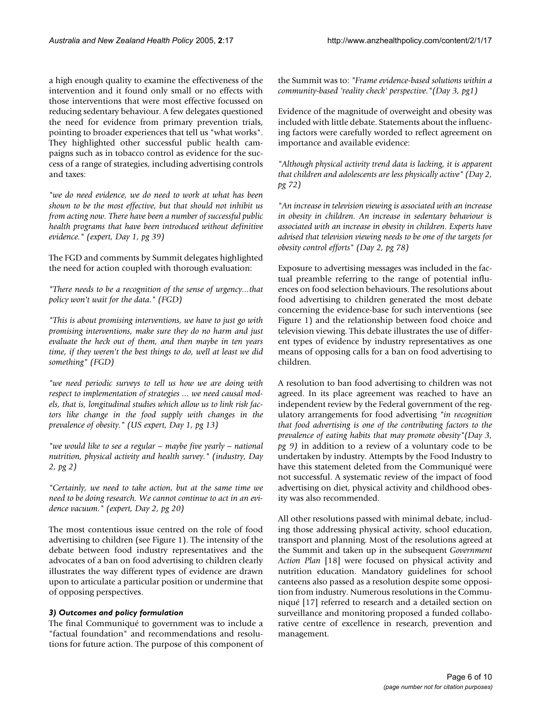a high enough quality to examine the effectiveness of the intervention and it found only small or no effects with those interventions that were most effective focussed on reducing sedentary behaviour. A few delegates questioned the need for evidence from primary prevention trials, pointing to broader experiences that tell us "what works". They highlighted other successful public health campaigns such as in tobacco control as evidence for the success of a range of strategies, including advertising controls and taxes:

*"we do need evidence, we do need to work at what has been shown to be the most effective, but that should not inhibit us from acting now. There have been a number of successful public health programs that have been introduced without definitive evidence." (expert, Day 1, pg 39)*

The FGD and comments by Summit delegates highlighted the need for action coupled with thorough evaluation:

*"There needs to be a recognition of the sense of urgency...that policy won't wait for the data." (FGD)*

*"This is about promising interventions, we have to just go with promising interventions, make sure they do no harm and just evaluate the heck out of them, and then maybe in ten years time, if they weren't the best things to do, well at least we did something" (FGD)*

*"we need periodic surveys to tell us how we are doing with respect to implementation of strategies ... we need causal models, that is, longitudinal studies which allow us to link risk factors like change in the food supply with changes in the prevalence of obesity." (US expert, Day 1, pg 13)*

*"we would like to see a regular – maybe five yearly – national nutrition, physical activity and health survey." (industry, Day 2, pg 2)*

*"Certainly, we need to take action, but at the same time we need to be doing research. We cannot continue to act in an evidence vacuum." (expert, Day 2, pg 20)*

The most contentious issue centred on the role of food advertising to children (see Figure [1](#page-6-0)). The intensity of the debate between food industry representatives and the advocates of a ban on food advertising to children clearly illustrates the way different types of evidence are drawn upon to articulate a particular position or undermine that of opposing perspectives.

#### *3) Outcomes and policy formulation*

The final Communiqué to government was to include a "factual foundation" and recommendations and resolutions for future action. The purpose of this component of the Summit was to: *"Frame evidence-based solutions within a community-based 'reality check' perspective."(Day 3, pg1)*

Evidence of the magnitude of overweight and obesity was included with little debate. Statements about the influencing factors were carefully worded to reflect agreement on importance and available evidence:

*"Although physical activity trend data is lacking, it is apparent that children and adolescents are less physically active" (Day 2, pg 72)*

*"An increase in television viewing is associated with an increase in obesity in children. An increase in sedentary behaviour is associated with an increase in obesity in children. Experts have advised that television viewing needs to be one of the targets for obesity control efforts" (Day 2, pg 78)*

Exposure to advertising messages was included in the factual preamble referring to the range of potential influences on food selection behaviours. The resolutions about food advertising to children generated the most debate concerning the evidence-base for such interventions (see Figure [1\)](#page-6-0) and the relationship between food choice and television viewing. This debate illustrates the use of different types of evidence by industry representatives as one means of opposing calls for a ban on food advertising to children.

A resolution to ban food advertising to children was not agreed. In its place agreement was reached to have an independent review by the Federal government of the regulatory arrangements for food advertising *"in recognition that food advertising is one of the contributing factors to the prevalence of eating habits that may promote obesity"(Day 3, pg 9)* in addition to a review of a voluntary code to be undertaken by industry. Attempts by the Food Industry to have this statement deleted from the Communiqué were not successful. A systematic review of the impact of food advertising on diet, physical activity and childhood obesity was also recommended.

All other resolutions passed with minimal debate, including those addressing physical activity, school education, transport and planning. Most of the resolutions agreed at the Summit and taken up in the subsequent *Government Action Plan* [18] were focused on physical activity and nutrition education. Mandatory guidelines for school canteens also passed as a resolution despite some opposition from industry. Numerous resolutions in the Communiqué [17] referred to research and a detailed section on surveillance and monitoring proposed a funded collaborative centre of excellence in research, prevention and management.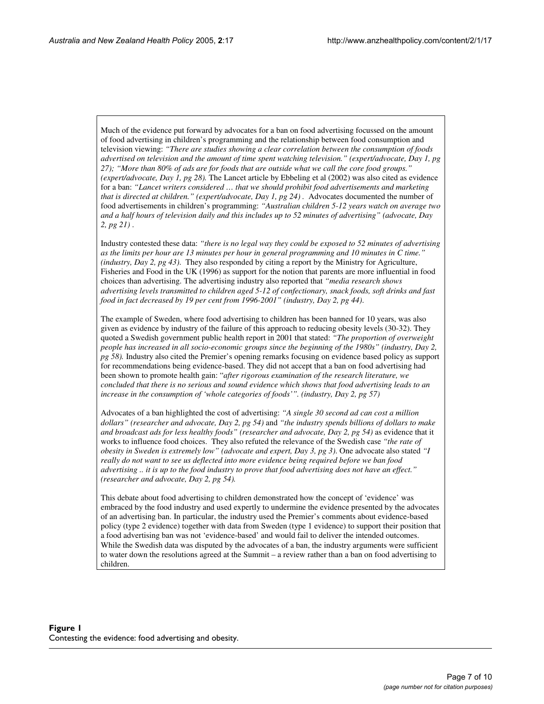<span id="page-6-0"></span>Much of the evidence put forward by advocates for a ban on food advertising focussed on the amount of food advertising in children's programming and the relationship between food consumption and television viewing: *"There are studies showing a clear correlation between the consumption of foods advertised on television and the amount of time spent watching television." (expert/advocate, Day 1, pg 27); "More than 80% of ads are for foods that are outside what we call the core food groups." (expert/advocate, Day 1, pg 28).* The Lancet article by Ebbeling et al (2002) was also cited as evidence for a ban: *"Lancet writers considered … that we should prohibit food advertisements and marketing that is directed at children." (expert/advocate, Day 1, pg 24) .* Advocates documented the number of food advertisements in children's programming: *"Australian children 5-12 years watch on average two and a half hours of television daily and this includes up to 52 minutes of advertising" (advocate, Day 2, pg 21)* .

Industry contested these data: *"there is no legal way they could be exposed to 52 minutes of advertising as the limits per hour are 13 minutes per hour in general programming and 10 minutes in C time." (industry, Day 2, pg 43)*. They also responded by citing a report by the Ministry for Agriculture, Fisheries and Food in the UK (1996) as support for the notion that parents are more influential in food choices than advertising. The advertising industry also reported that *"media research shows advertising levels transmitted to children aged 5-12 of confectionary, snack foods, soft drinks and fast food in fact decreased by 19 per cent from 1996-2001" (industry, Day 2, pg 44)*.

The example of Sweden, where food advertising to children has been banned for 10 years, was also given as evidence by industry of the failure of this approach to reducing obesity levels (30-32). They quoted a Swedish government public health report in 2001 that stated: *"The proportion of overweight people has increased in all socio-economic groups since the beginning of the 1980s" (industry, Day 2, pg 58).* Industry also cited the Premier's opening remarks focusing on evidence based policy as support for recommendations being evidence-based. They did not accept that a ban on food advertising had been shown to promote health gain: "*after rigorous examination of the research literature, we concluded that there is no serious and sound evidence which shows that food advertising leads to an increase in the consumption of 'whole categories of foods'". (industry, Day 2, pg 57)*

Advocates of a ban highlighted the cost of advertising: *"A single 30 second ad can cost a million dollars" (researcher and advocate, Day 2, pg 54)* and *"the industry spends billions of dollars to make and broadcast ads for less healthy foods" (researcher and advocate, Day 2, pg 54)* as evidence that it works to influence food choices. They also refuted the relevance of the Swedish case *"the rate of obesity in Sweden is extremely low" (advocate and expert, Day 3, pg 3)*. One advocate also stated *"I really do not want to see us deflected into more evidence being required before we ban food advertising .. it is up to the food industry to prove that food advertising does not have an effect." (researcher and advocate, Day 2, pg 54).*

This debate about food advertising to children demonstrated how the concept of 'evidence' was embraced by the food industry and used expertly to undermine the evidence presented by the advocates of an advertising ban. In particular, the industry used the Premier's comments about evidence-based policy (type 2 evidence) together with data from Sweden (type 1 evidence) to support their position that a food advertising ban was not 'evidence-based' and would fail to deliver the intended outcomes. While the Swedish data was disputed by the advocates of a ban, the industry arguments were sufficient to water down the resolutions agreed at the Summit – a review rather than a ban on food advertising to children.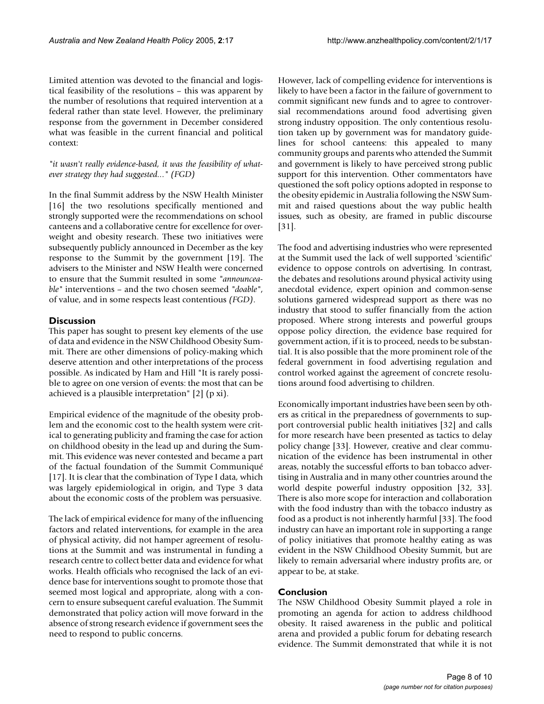Limited attention was devoted to the financial and logistical feasibility of the resolutions – this was apparent by the number of resolutions that required intervention at a federal rather than state level. However, the preliminary response from the government in December considered what was feasible in the current financial and political context:

*"it wasn't really evidence-based, it was the feasibility of whatever strategy they had suggested..." (FGD)*

In the final Summit address by the NSW Health Minister [16] the two resolutions specifically mentioned and strongly supported were the recommendations on school canteens and a collaborative centre for excellence for overweight and obesity research. These two initiatives were subsequently publicly announced in December as the key response to the Summit by the government [19]. The advisers to the Minister and NSW Health were concerned to ensure that the Summit resulted in some *"announceable"* interventions – and the two chosen seemed *"doable"*, of value, and in some respects least contentious *(FGD)*.

#### **Discussion**

This paper has sought to present key elements of the use of data and evidence in the NSW Childhood Obesity Summit. There are other dimensions of policy-making which deserve attention and other interpretations of the process possible. As indicated by Ham and Hill "It is rarely possible to agree on one version of events: the most that can be achieved is a plausible interpretation" [2] (p xi).

Empirical evidence of the magnitude of the obesity problem and the economic cost to the health system were critical to generating publicity and framing the case for action on childhood obesity in the lead up and during the Summit. This evidence was never contested and became a part of the factual foundation of the Summit Communiqué [17]. It is clear that the combination of Type I data, which was largely epidemiological in origin, and Type 3 data about the economic costs of the problem was persuasive.

The lack of empirical evidence for many of the influencing factors and related interventions, for example in the area of physical activity, did not hamper agreement of resolutions at the Summit and was instrumental in funding a research centre to collect better data and evidence for what works. Health officials who recognised the lack of an evidence base for interventions sought to promote those that seemed most logical and appropriate, along with a concern to ensure subsequent careful evaluation. The Summit demonstrated that policy action will move forward in the absence of strong research evidence if government sees the need to respond to public concerns.

However, lack of compelling evidence for interventions is likely to have been a factor in the failure of government to commit significant new funds and to agree to controversial recommendations around food advertising given strong industry opposition. The only contentious resolution taken up by government was for mandatory guidelines for school canteens: this appealed to many community groups and parents who attended the Summit and government is likely to have perceived strong public support for this intervention. Other commentators have questioned the soft policy options adopted in response to the obesity epidemic in Australia following the NSW Summit and raised questions about the way public health issues, such as obesity, are framed in public discourse [31].

The food and advertising industries who were represented at the Summit used the lack of well supported 'scientific' evidence to oppose controls on advertising. In contrast, the debates and resolutions around physical activity using anecdotal evidence, expert opinion and common-sense solutions garnered widespread support as there was no industry that stood to suffer financially from the action proposed. Where strong interests and powerful groups oppose policy direction, the evidence base required for government action, if it is to proceed, needs to be substantial. It is also possible that the more prominent role of the federal government in food advertising regulation and control worked against the agreement of concrete resolutions around food advertising to children.

Economically important industries have been seen by others as critical in the preparedness of governments to support controversial public health initiatives [32] and calls for more research have been presented as tactics to delay policy change [33]. However, creative and clear communication of the evidence has been instrumental in other areas, notably the successful efforts to ban tobacco advertising in Australia and in many other countries around the world despite powerful industry opposition [32, 33]. There is also more scope for interaction and collaboration with the food industry than with the tobacco industry as food as a product is not inherently harmful [33]. The food industry can have an important role in supporting a range of policy initiatives that promote healthy eating as was evident in the NSW Childhood Obesity Summit, but are likely to remain adversarial where industry profits are, or appear to be, at stake.

#### **Conclusion**

The NSW Childhood Obesity Summit played a role in promoting an agenda for action to address childhood obesity. It raised awareness in the public and political arena and provided a public forum for debating research evidence. The Summit demonstrated that while it is not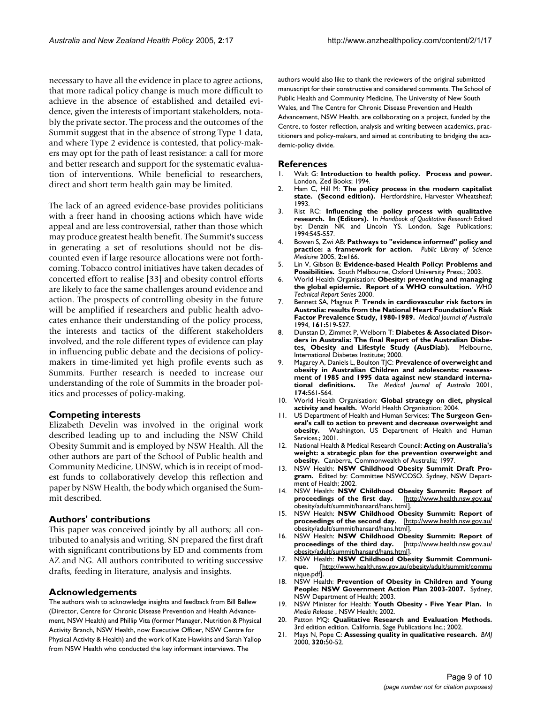necessary to have all the evidence in place to agree actions, that more radical policy change is much more difficult to achieve in the absence of established and detailed evidence, given the interests of important stakeholders, notably the private sector. The process and the outcomes of the Summit suggest that in the absence of strong Type 1 data, and where Type 2 evidence is contested, that policy-makers may opt for the path of least resistance: a call for more and better research and support for the systematic evaluation of interventions. While beneficial to researchers, direct and short term health gain may be limited.

The lack of an agreed evidence-base provides politicians with a freer hand in choosing actions which have wide appeal and are less controversial, rather than those which may produce greatest health benefit. The Summit's success in generating a set of resolutions should not be discounted even if large resource allocations were not forthcoming. Tobacco control initiatives have taken decades of concerted effort to realise [33] and obesity control efforts are likely to face the same challenges around evidence and action. The prospects of controlling obesity in the future will be amplified if researchers and public health advocates enhance their understanding of the policy process, the interests and tactics of the different stakeholders involved, and the role different types of evidence can play in influencing public debate and the decisions of policymakers in time-limited yet high profile events such as Summits. Further research is needed to increase our understanding of the role of Summits in the broader politics and processes of policy-making.

#### **Competing interests**

Elizabeth Develin was involved in the original work described leading up to and including the NSW Child Obesity Summit and is employed by NSW Health. All the other authors are part of the School of Public health and Community Medicine, UNSW, which is in receipt of modest funds to collaboratively develop this reflection and paper by NSW Health, the body which organised the Summit described.

#### **Authors' contributions**

This paper was conceived jointly by all authors; all contributed to analysis and writing. SN prepared the first draft with significant contributions by ED and comments from AZ and NG. All authors contributed to writing successive drafts, feeding in literature, analysis and insights.

#### **Acknowledgements**

The authors wish to acknowledge insights and feedback from Bill Bellew (Director, Centre for Chronic Disease Prevention and Health Advancement, NSW Health) and Phillip Vita (former Manager, Nutrition & Physical Activity Branch, NSW Health, now Executive Officer, NSW Centre for Physical Activity & Health) and the work of Kate Hawkins and Sarah Yallop from NSW Health who conducted the key informant interviews. The

authors would also like to thank the reviewers of the original submitted manuscript for their constructive and considered comments. The School of Public Health and Community Medicine, The University of New South Wales, and The Centre for Chronic Disease Prevention and Health Advancement, NSW Health, are collaborating on a project, funded by the Centre, to foster reflection, analysis and writing between academics, practitioners and policy-makers, and aimed at contributing to bridging the academic-policy divide.

#### **References**

- 1. Walt G: **Introduction to health policy. Process and power.** London, Zed Books; 1994.
- 2. Ham C, Hill M: **The policy process in the modern capitalist state. (Second edition).** Hertfordshire, Harvester Wheatsheaf; 1993.
- 3. Rist RC: **Influencing the policy process with qualitative research. In (Editors).** In *Handbook of Qualitative Research* Edited by: Denzin NK and Lincoln YS. London, Sage Publications; 1994:545-557.
- 4. Bowen S, Zwi AB: **[Pathways to "evidence informed" policy and](http://www.ncbi.nlm.nih.gov/entrez/query.fcgi?cmd=Retrieve&db=PubMed&dopt=Abstract&list_uids=15913387) [practice: a framework for action.](http://www.ncbi.nlm.nih.gov/entrez/query.fcgi?cmd=Retrieve&db=PubMed&dopt=Abstract&list_uids=15913387)** *Public Library of Science Medicine* 2005, **2:**e166.
- 5. Lin V, Gibson B: **Evidence-based Health Policy: Problems and Possibilities.** South Melbourne, Oxford University Press.; 2003.
- 6. World Health Organisation: **Obesity: preventing and managing the global epidemic. Report of a WHO consultation.** *WHO Technical Report Series* 2000.
- 7. Bennett SA, Magnus P: **[Trends in cardiovascular risk factors in](http://www.ncbi.nlm.nih.gov/entrez/query.fcgi?cmd=Retrieve&db=PubMed&dopt=Abstract&list_uids=7968750) [Australia: results from the National Heart Foundation's Risk](http://www.ncbi.nlm.nih.gov/entrez/query.fcgi?cmd=Retrieve&db=PubMed&dopt=Abstract&list_uids=7968750) [Factor Prevalence Study, 1980-1989.](http://www.ncbi.nlm.nih.gov/entrez/query.fcgi?cmd=Retrieve&db=PubMed&dopt=Abstract&list_uids=7968750)** *Medical Journal of Australia* 1994, **161:**519-527.
- 8. Dunstan D, Zimmet P, Welborn T: **Diabetes & Associated Disorders in Australia: The final Report of the Australian Diabetes, Obesity and Lifestyle Study (AusDiab).** Melbourne, International Diabetes Institute; 2000.
- 9. Magarey A, Daniels L, Boulton TJC: **[Prevalence of overweight and](http://www.ncbi.nlm.nih.gov/entrez/query.fcgi?cmd=Retrieve&db=PubMed&dopt=Abstract&list_uids=11453327) [obesity in Australian Children and adolescents: reassess](http://www.ncbi.nlm.nih.gov/entrez/query.fcgi?cmd=Retrieve&db=PubMed&dopt=Abstract&list_uids=11453327)**ment of 1985 and 1995 data against new standard interna-<br>
tional definitions. The Medical lournal of Australia 2001. **[tional definitions.](http://www.ncbi.nlm.nih.gov/entrez/query.fcgi?cmd=Retrieve&db=PubMed&dopt=Abstract&list_uids=11453327)** *The Medical Journal of Australia* 2001, **174:**561-564.
- 10. World Health Organisation: **Global strategy on diet, physical activity and health.** World Health Organisation; 2004.
- 11. US Department of Health and Human Services: **The Surgeon General's call to action to prevent and decrease overweight and obesity.** Washington, US Department of Health and Human Services.; 2001.
- 12. National Health & Medical Research Council: **Acting on Australia's weight: a strategic plan for the prevention overweight and obesity.** Canberra, Commonwealth of Australia; 1997.
- 13. NSW Health: **NSW Childhood Obesity Summit Draft Program.** Edited by: Committee NSWCOSO. Sydney, NSW Department of Health; 2002.
- 14. NSW Health: **NSW Childhood Obesity Summit: Report of proceedings of the first day.** [[http://www.health.nsw.gov.au/](http://www.health.nsw.gov.au/obesity/adult/summit/hansard/hans.html) [obesity/adult/summit/hansard/hans.html](http://www.health.nsw.gov.au/obesity/adult/summit/hansard/hans.html)].
- 15. NSW Health: **NSW Childhood Obesity Summit: Report of proceedings of the second day.** [[http://www.health.nsw.gov.au/](http://www.health.nsw.gov.au/obesity/adult/summit/hansard/hans.html) [obesity/adult/summit/hansard/hans.html](http://www.health.nsw.gov.au/obesity/adult/summit/hansard/hans.html)].
- 16. NSW Health: **NSW Childhood Obesity Summit: Report of proceedings of the third day.** [[http://www.health.nsw.gov.au/](http://www.health.nsw.gov.au/obesity/adult/summit/hansard/hans.html) [obesity/adult/summit/hansard/hans.html](http://www.health.nsw.gov.au/obesity/adult/summit/hansard/hans.html)].
- 17. NSW Health: **NSW Childhood Obesity Summit Communique.** [[http://www.health.nsw.gov.au/obesity/adult/summit/commu](http://www.health.nsw.gov.au/obesity/adult/summit/communique.pdf) [nique.pdf](http://www.health.nsw.gov.au/obesity/adult/summit/communique.pdf)].
- 18. NSW Health: **Prevention of Obesity in Children and Young People: NSW Government Action Plan 2003-2007.** Sydney, NSW Department of Health; 2003.
- 19. NSW Minister for Health: **Youth Obesity Five Year Plan.** In *Media Release* , NSW Health; 2002.
- 20. Patton MQ: **Qualitative Research and Evaluation Methods.** 3rd edition edition. California, Sage Publications Inc.; 2002.
- 21. Mays N, Pope C: **[Assessing quality in qualitative research.](http://www.ncbi.nlm.nih.gov/entrez/query.fcgi?cmd=Retrieve&db=PubMed&dopt=Abstract&list_uids=10617534)** *BMJ* 2000, **320:**50-52.